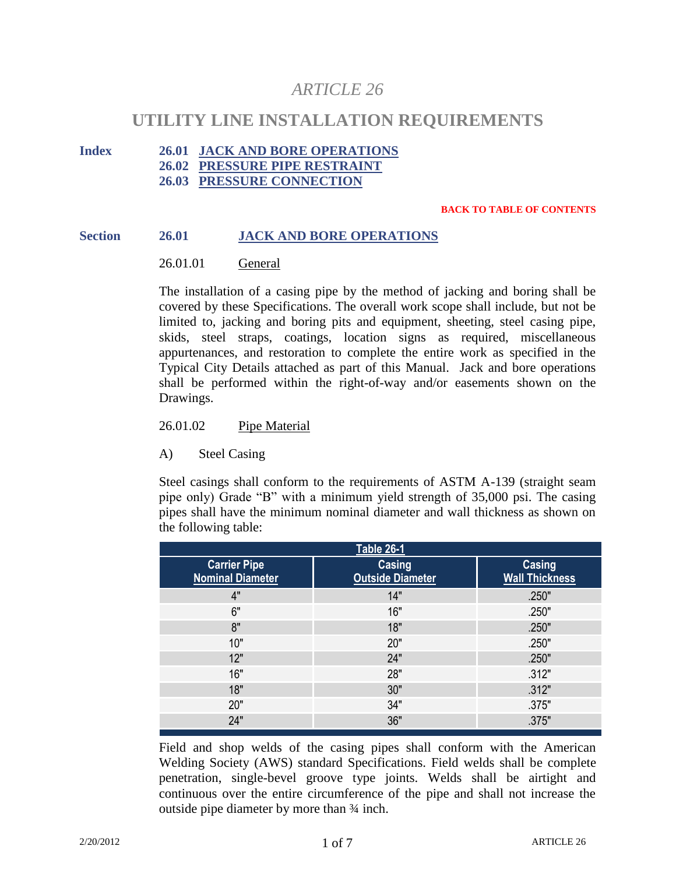# *ARTICLE 26*

# **UTILITY LINE INSTALLATION REQUIREMENTS**

# **Index 26.01 JACK AND BORE OPERATIONS**

**26.02 PRESSURE PIPE RESTRAINT**

**26.03 PRESSURE CONNECTION**

#### **BACK TO TABLE OF CONTENTS**

#### **Section 26.01 JACK AND BORE OPERATIONS**

## 26.01.01 General

The installation of a casing pipe by the method of jacking and boring shall be covered by these Specifications. The overall work scope shall include, but not be limited to, jacking and boring pits and equipment, sheeting, steel casing pipe, skids, steel straps, coatings, location signs as required, miscellaneous appurtenances, and restoration to complete the entire work as specified in the Typical City Details attached as part of this Manual. Jack and bore operations shall be performed within the right-of-way and/or easements shown on the Drawings.

26.01.02 Pipe Material

# A) Steel Casing

Steel casings shall conform to the requirements of ASTM A-139 (straight seam pipe only) Grade "B" with a minimum yield strength of 35,000 psi. The casing pipes shall have the minimum nominal diameter and wall thickness as shown on the following table:

| <b>Table 26-1</b>                              |                                   |                                 |
|------------------------------------------------|-----------------------------------|---------------------------------|
| <b>Carrier Pipe</b><br><b>Nominal Diameter</b> | Casing<br><b>Outside Diameter</b> | Casing<br><b>Wall Thickness</b> |
| 4"                                             | 14"                               | .250"                           |
| 6"                                             | 16"                               | .250"                           |
| 8"                                             | 18"                               | .250"                           |
| 10"                                            | 20"                               | .250"                           |
| 12"                                            | 24"                               | .250"                           |
| 16"                                            | 28"                               | .312"                           |
| 18"                                            | 30"                               | .312"                           |
| 20"                                            | 34"                               | .375"                           |
| 24"                                            | 36"                               | .375"                           |

Field and shop welds of the casing pipes shall conform with the American Welding Society (AWS) standard Specifications. Field welds shall be complete penetration, single-bevel groove type joints. Welds shall be airtight and continuous over the entire circumference of the pipe and shall not increase the outside pipe diameter by more than ¾ inch.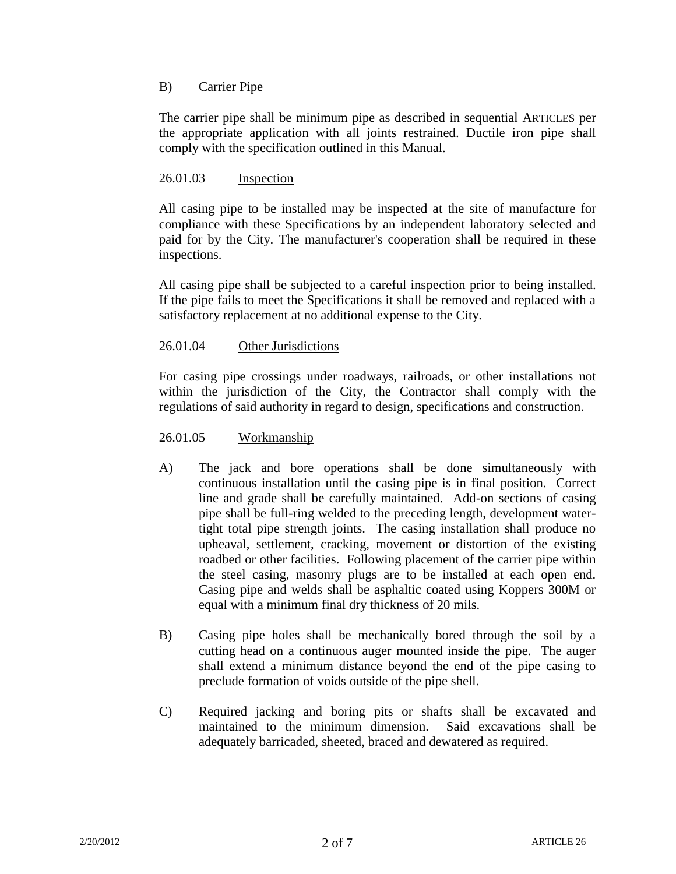# B) Carrier Pipe

The carrier pipe shall be minimum pipe as described in sequential ARTICLES per the appropriate application with all joints restrained. Ductile iron pipe shall comply with the specification outlined in this Manual.

## 26.01.03 Inspection

All casing pipe to be installed may be inspected at the site of manufacture for compliance with these Specifications by an independent laboratory selected and paid for by the City. The manufacturer's cooperation shall be required in these inspections.

All casing pipe shall be subjected to a careful inspection prior to being installed. If the pipe fails to meet the Specifications it shall be removed and replaced with a satisfactory replacement at no additional expense to the City.

## 26.01.04 Other Jurisdictions

For casing pipe crossings under roadways, railroads, or other installations not within the jurisdiction of the City, the Contractor shall comply with the regulations of said authority in regard to design, specifications and construction.

## 26.01.05 Workmanship

- A) The jack and bore operations shall be done simultaneously with continuous installation until the casing pipe is in final position. Correct line and grade shall be carefully maintained. Add-on sections of casing pipe shall be full-ring welded to the preceding length, development watertight total pipe strength joints. The casing installation shall produce no upheaval, settlement, cracking, movement or distortion of the existing roadbed or other facilities. Following placement of the carrier pipe within the steel casing, masonry plugs are to be installed at each open end. Casing pipe and welds shall be asphaltic coated using Koppers 300M or equal with a minimum final dry thickness of 20 mils.
- B) Casing pipe holes shall be mechanically bored through the soil by a cutting head on a continuous auger mounted inside the pipe. The auger shall extend a minimum distance beyond the end of the pipe casing to preclude formation of voids outside of the pipe shell.
- C) Required jacking and boring pits or shafts shall be excavated and maintained to the minimum dimension. Said excavations shall be adequately barricaded, sheeted, braced and dewatered as required.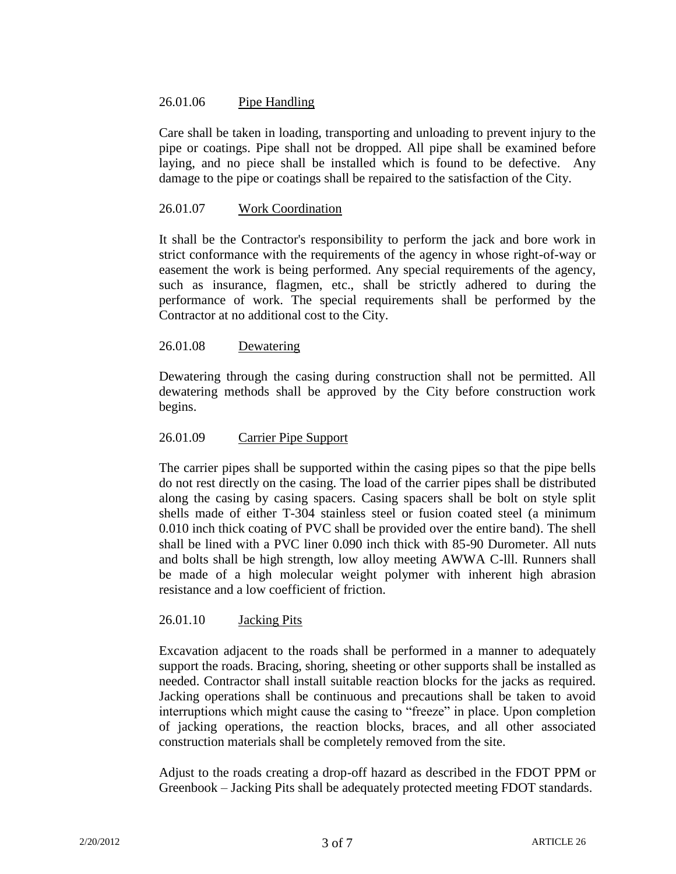# 26.01.06 Pipe Handling

Care shall be taken in loading, transporting and unloading to prevent injury to the pipe or coatings. Pipe shall not be dropped. All pipe shall be examined before laying, and no piece shall be installed which is found to be defective. Any damage to the pipe or coatings shall be repaired to the satisfaction of the City.

## 26.01.07 Work Coordination

It shall be the Contractor's responsibility to perform the jack and bore work in strict conformance with the requirements of the agency in whose right-of-way or easement the work is being performed. Any special requirements of the agency, such as insurance, flagmen, etc., shall be strictly adhered to during the performance of work. The special requirements shall be performed by the Contractor at no additional cost to the City.

## 26.01.08 Dewatering

Dewatering through the casing during construction shall not be permitted. All dewatering methods shall be approved by the City before construction work begins.

## 26.01.09 Carrier Pipe Support

The carrier pipes shall be supported within the casing pipes so that the pipe bells do not rest directly on the casing. The load of the carrier pipes shall be distributed along the casing by casing spacers. Casing spacers shall be bolt on style split shells made of either T-304 stainless steel or fusion coated steel (a minimum 0.010 inch thick coating of PVC shall be provided over the entire band). The shell shall be lined with a PVC liner 0.090 inch thick with 85-90 Durometer. All nuts and bolts shall be high strength, low alloy meeting AWWA C-lll. Runners shall be made of a high molecular weight polymer with inherent high abrasion resistance and a low coefficient of friction.

## 26.01.10 Jacking Pits

Excavation adjacent to the roads shall be performed in a manner to adequately support the roads. Bracing, shoring, sheeting or other supports shall be installed as needed. Contractor shall install suitable reaction blocks for the jacks as required. Jacking operations shall be continuous and precautions shall be taken to avoid interruptions which might cause the casing to "freeze" in place. Upon completion of jacking operations, the reaction blocks, braces, and all other associated construction materials shall be completely removed from the site.

Adjust to the roads creating a drop-off hazard as described in the FDOT PPM or Greenbook – Jacking Pits shall be adequately protected meeting FDOT standards.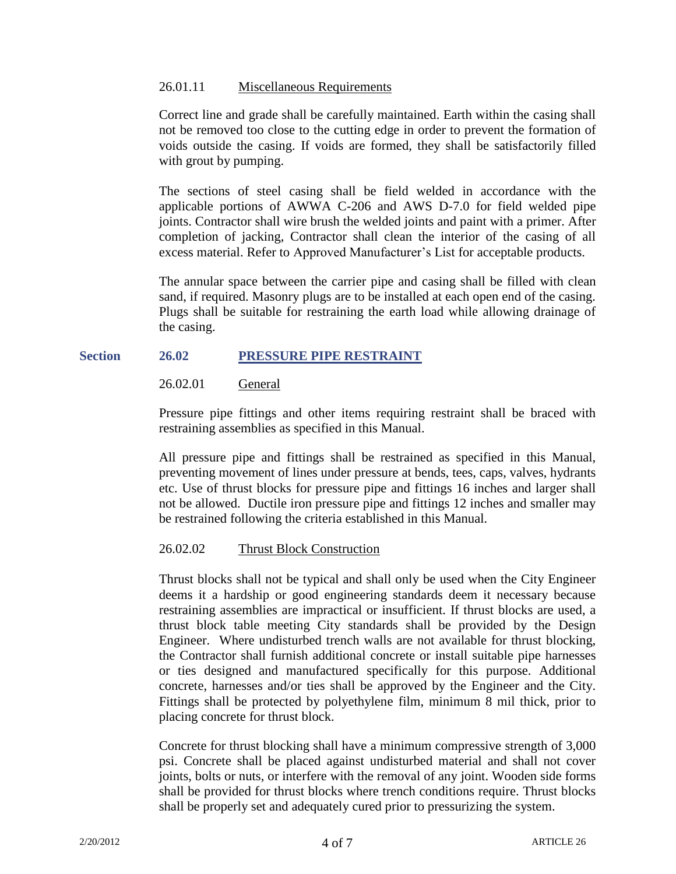## 26.01.11 Miscellaneous Requirements

Correct line and grade shall be carefully maintained. Earth within the casing shall not be removed too close to the cutting edge in order to prevent the formation of voids outside the casing. If voids are formed, they shall be satisfactorily filled with grout by pumping.

The sections of steel casing shall be field welded in accordance with the applicable portions of AWWA C-206 and AWS D-7.0 for field welded pipe joints. Contractor shall wire brush the welded joints and paint with a primer. After completion of jacking, Contractor shall clean the interior of the casing of all excess material. Refer to Approved Manufacturer's List for acceptable products.

The annular space between the carrier pipe and casing shall be filled with clean sand, if required. Masonry plugs are to be installed at each open end of the casing. Plugs shall be suitable for restraining the earth load while allowing drainage of the casing.

## **Section 26.02 PRESSURE PIPE RESTRAINT**

26.02.01 General

Pressure pipe fittings and other items requiring restraint shall be braced with restraining assemblies as specified in this Manual.

All pressure pipe and fittings shall be restrained as specified in this Manual, preventing movement of lines under pressure at bends, tees, caps, valves, hydrants etc. Use of thrust blocks for pressure pipe and fittings 16 inches and larger shall not be allowed. Ductile iron pressure pipe and fittings 12 inches and smaller may be restrained following the criteria established in this Manual.

## 26.02.02 Thrust Block Construction

Thrust blocks shall not be typical and shall only be used when the City Engineer deems it a hardship or good engineering standards deem it necessary because restraining assemblies are impractical or insufficient. If thrust blocks are used, a thrust block table meeting City standards shall be provided by the Design Engineer. Where undisturbed trench walls are not available for thrust blocking, the Contractor shall furnish additional concrete or install suitable pipe harnesses or ties designed and manufactured specifically for this purpose. Additional concrete, harnesses and/or ties shall be approved by the Engineer and the City. Fittings shall be protected by polyethylene film, minimum 8 mil thick, prior to placing concrete for thrust block.

Concrete for thrust blocking shall have a minimum compressive strength of 3,000 psi. Concrete shall be placed against undisturbed material and shall not cover joints, bolts or nuts, or interfere with the removal of any joint. Wooden side forms shall be provided for thrust blocks where trench conditions require. Thrust blocks shall be properly set and adequately cured prior to pressurizing the system.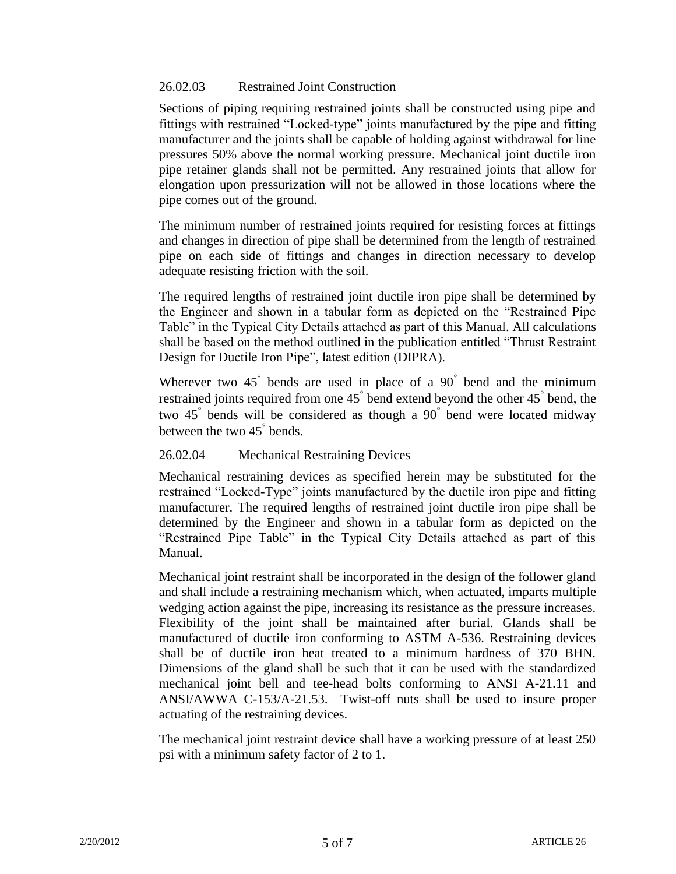# 26.02.03 Restrained Joint Construction

Sections of piping requiring restrained joints shall be constructed using pipe and fittings with restrained "Locked-type" joints manufactured by the pipe and fitting manufacturer and the joints shall be capable of holding against withdrawal for line pressures 50% above the normal working pressure. Mechanical joint ductile iron pipe retainer glands shall not be permitted. Any restrained joints that allow for elongation upon pressurization will not be allowed in those locations where the pipe comes out of the ground.

The minimum number of restrained joints required for resisting forces at fittings and changes in direction of pipe shall be determined from the length of restrained pipe on each side of fittings and changes in direction necessary to develop adequate resisting friction with the soil.

The required lengths of restrained joint ductile iron pipe shall be determined by the Engineer and shown in a tabular form as depicted on the "Restrained Pipe Table" in the Typical City Details attached as part of this Manual. All calculations shall be based on the method outlined in the publication entitled "Thrust Restraint Design for Ductile Iron Pipe", latest edition (DIPRA).

Wherever two  $45^{\degree}$  bends are used in place of a  $90^{\degree}$  bend and the minimum restrained joints required from one 45° bend extend beyond the other 45° bend, the two 45 bends will be considered as though a 90 bend were located midway between the two  $45^{\degree}$  bends.

# 26.02.04 Mechanical Restraining Devices

Mechanical restraining devices as specified herein may be substituted for the restrained "Locked-Type" joints manufactured by the ductile iron pipe and fitting manufacturer. The required lengths of restrained joint ductile iron pipe shall be determined by the Engineer and shown in a tabular form as depicted on the "Restrained Pipe Table" in the Typical City Details attached as part of this Manual.

Mechanical joint restraint shall be incorporated in the design of the follower gland and shall include a restraining mechanism which, when actuated, imparts multiple wedging action against the pipe, increasing its resistance as the pressure increases. Flexibility of the joint shall be maintained after burial. Glands shall be manufactured of ductile iron conforming to ASTM A-536. Restraining devices shall be of ductile iron heat treated to a minimum hardness of 370 BHN. Dimensions of the gland shall be such that it can be used with the standardized mechanical joint bell and tee-head bolts conforming to ANSI A-21.11 and ANSI/AWWA C-153/A-21.53. Twist-off nuts shall be used to insure proper actuating of the restraining devices.

The mechanical joint restraint device shall have a working pressure of at least 250 psi with a minimum safety factor of 2 to 1.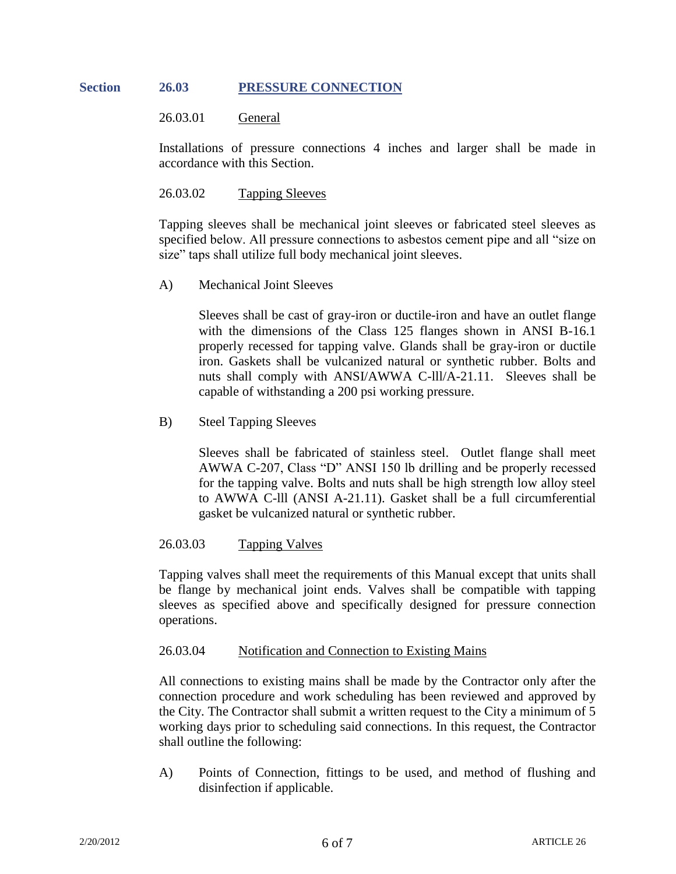## **Section 26.03 PRESSURE CONNECTION**

#### 26.03.01 General

Installations of pressure connections 4 inches and larger shall be made in accordance with this Section.

#### 26.03.02 Tapping Sleeves

Tapping sleeves shall be mechanical joint sleeves or fabricated steel sleeves as specified below. All pressure connections to asbestos cement pipe and all "size on size" taps shall utilize full body mechanical joint sleeves.

A) Mechanical Joint Sleeves

Sleeves shall be cast of gray-iron or ductile-iron and have an outlet flange with the dimensions of the Class 125 flanges shown in ANSI B-16.1 properly recessed for tapping valve. Glands shall be gray-iron or ductile iron. Gaskets shall be vulcanized natural or synthetic rubber. Bolts and nuts shall comply with ANSI/AWWA C-lll/A-21.11. Sleeves shall be capable of withstanding a 200 psi working pressure.

#### B) Steel Tapping Sleeves

Sleeves shall be fabricated of stainless steel. Outlet flange shall meet AWWA C-207, Class "D" ANSI 150 lb drilling and be properly recessed for the tapping valve. Bolts and nuts shall be high strength low alloy steel to AWWA C-lll (ANSI A-21.11). Gasket shall be a full circumferential gasket be vulcanized natural or synthetic rubber.

#### 26.03.03 Tapping Valves

Tapping valves shall meet the requirements of this Manual except that units shall be flange by mechanical joint ends. Valves shall be compatible with tapping sleeves as specified above and specifically designed for pressure connection operations.

#### 26.03.04 Notification and Connection to Existing Mains

All connections to existing mains shall be made by the Contractor only after the connection procedure and work scheduling has been reviewed and approved by the City. The Contractor shall submit a written request to the City a minimum of 5 working days prior to scheduling said connections. In this request, the Contractor shall outline the following:

A) Points of Connection, fittings to be used, and method of flushing and disinfection if applicable.